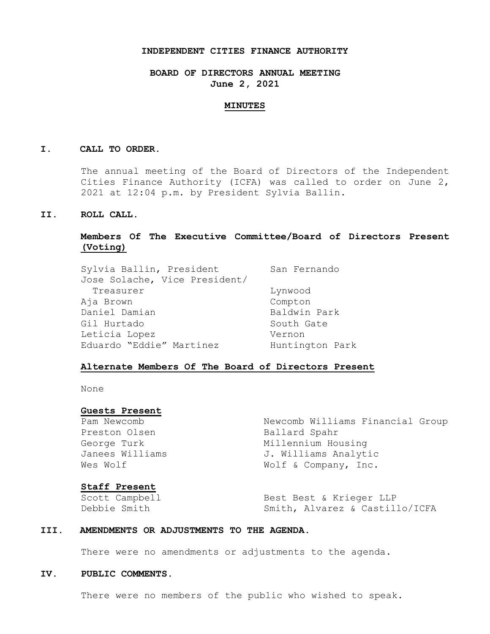### **INDEPENDENT CITIES FINANCE AUTHORITY**

**BOARD OF DIRECTORS ANNUAL MEETING June 2, 2021**

#### **MINUTES**

#### **I. CALL TO ORDER.**

The annual meeting of the Board of Directors of the Independent Cities Finance Authority (ICFA) was called to order on June 2, 2021 at 12:04 p.m. by President Sylvia Ballin.

### **II. ROLL CALL.**

# **Members Of The Executive Committee/Board of Directors Present (Voting)**

| Sylvia Ballin, President      | San Fernando    |  |
|-------------------------------|-----------------|--|
| Jose Solache, Vice President/ |                 |  |
| Treasurer                     | Lynwood         |  |
| Aja Brown                     | Compton         |  |
| Daniel Damian                 | Baldwin Park    |  |
| Gil Hurtado                   | South Gate      |  |
| Leticia Lopez                 | Vernon          |  |
| Eduardo "Eddie" Martinez      | Huntington Park |  |

### **Alternate Members Of The Board of Directors Present**

None

### **Guests Present**

Preston Olsen Ballard Spahr

Pam Newcomb Newcomb Williams Financial Group George Turk Millennium Housing Janees Williams 3. Williams Analytic Wes Wolf  $W$  Wolf & Company, Inc.

### **Staff Present**

Scott Campbell Best Best & Krieger LLP Debbie Smith Smith, Alvarez & Castillo/ICFA

### **III. AMENDMENTS OR ADJUSTMENTS TO THE AGENDA.**

There were no amendments or adjustments to the agenda.

### **IV. PUBLIC COMMENTS.**

There were no members of the public who wished to speak.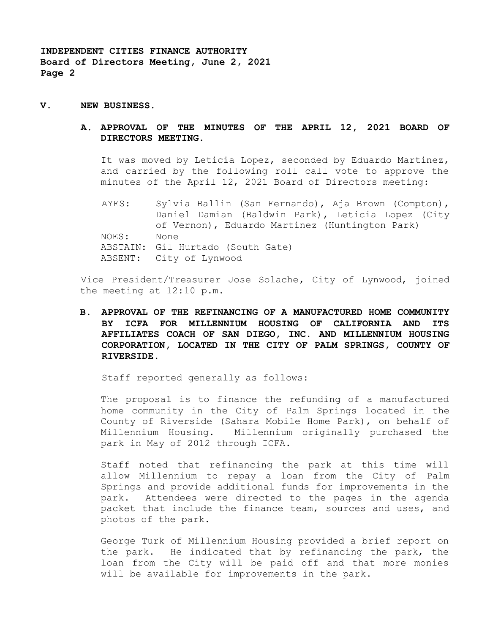- **V. NEW BUSINESS.**
	- **A. APPROVAL OF THE MINUTES OF THE APRIL 12, 2021 BOARD OF DIRECTORS MEETING.**

It was moved by Leticia Lopez, seconded by Eduardo Martinez, and carried by the following roll call vote to approve the minutes of the April 12, 2021 Board of Directors meeting:

AYES: Sylvia Ballin (San Fernando), Aja Brown (Compton), Daniel Damian (Baldwin Park), Leticia Lopez (City of Vernon), Eduardo Martinez (Huntington Park) NOES: None ABSTAIN: Gil Hurtado (South Gate) ABSENT: City of Lynwood

Vice President/Treasurer Jose Solache, City of Lynwood, joined the meeting at 12:10 p.m.

**B. APPROVAL OF THE REFINANCING OF A MANUFACTURED HOME COMMUNITY BY ICFA FOR MILLENNIUM HOUSING OF CALIFORNIA AND ITS AFFILIATES COACH OF SAN DIEGO, INC. AND MILLENNIUM HOUSING CORPORATION, LOCATED IN THE CITY OF PALM SPRINGS, COUNTY OF RIVERSIDE.**

Staff reported generally as follows:

The proposal is to finance the refunding of a manufactured home community in the City of Palm Springs located in the County of Riverside (Sahara Mobile Home Park), on behalf of Millennium Housing. Millennium originally purchased the park in May of 2012 through ICFA.

Staff noted that refinancing the park at this time will allow Millennium to repay a loan from the City of Palm Springs and provide additional funds for improvements in the park. Attendees were directed to the pages in the agenda packet that include the finance team, sources and uses, and photos of the park.

George Turk of Millennium Housing provided a brief report on the park. He indicated that by refinancing the park, the loan from the City will be paid off and that more monies will be available for improvements in the park.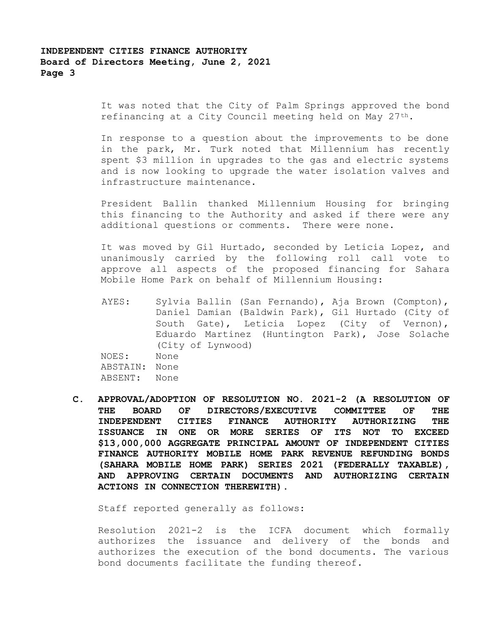It was noted that the City of Palm Springs approved the bond refinancing at a City Council meeting held on May  $27<sup>th</sup>$ .

In response to a question about the improvements to be done in the park, Mr. Turk noted that Millennium has recently spent \$3 million in upgrades to the gas and electric systems and is now looking to upgrade the water isolation valves and infrastructure maintenance.

President Ballin thanked Millennium Housing for bringing this financing to the Authority and asked if there were any additional questions or comments. There were none.

It was moved by Gil Hurtado, seconded by Leticia Lopez, and unanimously carried by the following roll call vote to approve all aspects of the proposed financing for Sahara Mobile Home Park on behalf of Millennium Housing:

AYES: Sylvia Ballin (San Fernando), Aja Brown (Compton), Daniel Damian (Baldwin Park), Gil Hurtado (City of South Gate), Leticia Lopez (City of Vernon), Eduardo Martinez (Huntington Park), Jose Solache (City of Lynwood) NOES: None ABSTAIN: None ABSENT: None

**C. APPROVAL/ADOPTION OF RESOLUTION NO. 2021-2 (A RESOLUTION OF THE BOARD OF DIRECTORS/EXECUTIVE COMMITTEE OF THE INDEPENDENT CITIES FINANCE AUTHORITY AUTHORIZING THE ISSUANCE IN ONE OR MORE SERIES OF ITS NOT TO EXCEED \$13,000,000 AGGREGATE PRINCIPAL AMOUNT OF INDEPENDENT CITIES FINANCE AUTHORITY MOBILE HOME PARK REVENUE REFUNDING BONDS (SAHARA MOBILE HOME PARK) SERIES 2021 (FEDERALLY TAXABLE), AND APPROVING CERTAIN DOCUMENTS AND AUTHORIZING CERTAIN ACTIONS IN CONNECTION THEREWITH).**

Staff reported generally as follows:

Resolution 2021-2 is the ICFA document which formally authorizes the issuance and delivery of the bonds and authorizes the execution of the bond documents. The various bond documents facilitate the funding thereof.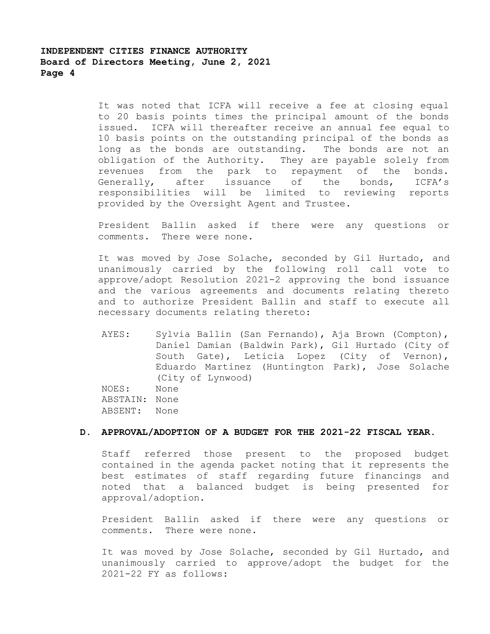It was noted that ICFA will receive a fee at closing equal to 20 basis points times the principal amount of the bonds issued. ICFA will thereafter receive an annual fee equal to 10 basis points on the outstanding principal of the bonds as long as the bonds are outstanding. The bonds are not an obligation of the Authority. They are payable solely from revenues from the park to repayment of the bonds. Generally, after issuance of the bonds, ICFA's responsibilities will be limited to reviewing reports provided by the Oversight Agent and Trustee.

President Ballin asked if there were any questions or comments. There were none.

It was moved by Jose Solache, seconded by Gil Hurtado, and unanimously carried by the following roll call vote to approve/adopt Resolution 2021-2 approving the bond issuance and the various agreements and documents relating thereto and to authorize President Ballin and staff to execute all necessary documents relating thereto:

AYES: Sylvia Ballin (San Fernando), Aja Brown (Compton), Daniel Damian (Baldwin Park), Gil Hurtado (City of South Gate), Leticia Lopez (City of Vernon), Eduardo Martinez (Huntington Park), Jose Solache (City of Lynwood) NOES: None ABSTAIN: None ABSENT: None

# **D. APPROVAL/ADOPTION OF A BUDGET FOR THE 2021-22 FISCAL YEAR.**

Staff referred those present to the proposed budget contained in the agenda packet noting that it represents the best estimates of staff regarding future financings and noted that a balanced budget is being presented for approval/adoption.

President Ballin asked if there were any questions or comments. There were none.

It was moved by Jose Solache, seconded by Gil Hurtado, and unanimously carried to approve/adopt the budget for the 2021-22 FY as follows: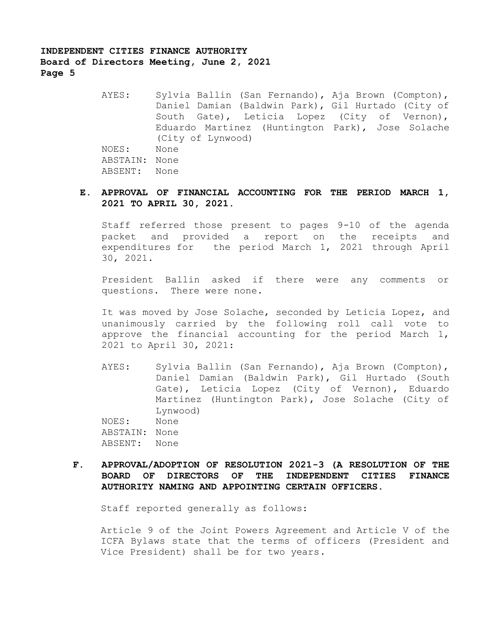AYES: Sylvia Ballin (San Fernando), Aja Brown (Compton), Daniel Damian (Baldwin Park), Gil Hurtado (City of South Gate), Leticia Lopez (City of Vernon), Eduardo Martinez (Huntington Park), Jose Solache (City of Lynwood) NOES: None ABSTAIN: None ABSENT: None

## **E. APPROVAL OF FINANCIAL ACCOUNTING FOR THE PERIOD MARCH 1, 2021 TO APRIL 30, 2021.**

Staff referred those present to pages 9-10 of the agenda packet and provided a report on the receipts and expenditures for the period March 1, 2021 through April 30, 2021.

President Ballin asked if there were any comments or questions. There were none.

It was moved by Jose Solache, seconded by Leticia Lopez, and unanimously carried by the following roll call vote to approve the financial accounting for the period March 1, 2021 to April 30, 2021:

- AYES: Sylvia Ballin (San Fernando), Aja Brown (Compton), Daniel Damian (Baldwin Park), Gil Hurtado (South Gate), Leticia Lopez (City of Vernon), Eduardo Martinez (Huntington Park), Jose Solache (City of Lynwood) NOES: None ABSTAIN: None ABSENT: None
- **F. APPROVAL/ADOPTION OF RESOLUTION 2021-3 (A RESOLUTION OF THE BOARD OF DIRECTORS OF THE INDEPENDENT CITIES FINANCE AUTHORITY NAMING AND APPOINTING CERTAIN OFFICERS.**

Staff reported generally as follows:

Article 9 of the Joint Powers Agreement and Article V of the ICFA Bylaws state that the terms of officers (President and Vice President) shall be for two years.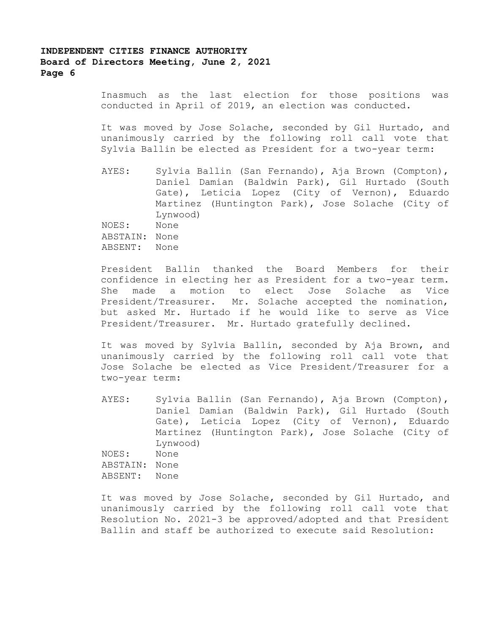Inasmuch as the last election for those positions was conducted in April of 2019, an election was conducted.

It was moved by Jose Solache, seconded by Gil Hurtado, and unanimously carried by the following roll call vote that Sylvia Ballin be elected as President for a two-year term:

AYES: Sylvia Ballin (San Fernando), Aja Brown (Compton), Daniel Damian (Baldwin Park), Gil Hurtado (South Gate), Leticia Lopez (City of Vernon), Eduardo Martinez (Huntington Park), Jose Solache (City of Lynwood) NOES: None ABSTAIN: None ABSENT: None

President Ballin thanked the Board Members for their confidence in electing her as President for a two-year term. She made a motion to elect Jose Solache as Vice President/Treasurer. Mr. Solache accepted the nomination, but asked Mr. Hurtado if he would like to serve as Vice President/Treasurer. Mr. Hurtado gratefully declined.

It was moved by Sylvia Ballin, seconded by Aja Brown, and unanimously carried by the following roll call vote that Jose Solache be elected as Vice President/Treasurer for a two-year term:

AYES: Sylvia Ballin (San Fernando), Aja Brown (Compton), Daniel Damian (Baldwin Park), Gil Hurtado (South Gate), Leticia Lopez (City of Vernon), Eduardo Martinez (Huntington Park), Jose Solache (City of Lynwood) NOES: None ABSTAIN: None ABSENT: None

It was moved by Jose Solache, seconded by Gil Hurtado, and unanimously carried by the following roll call vote that Resolution No. 2021-3 be approved/adopted and that President Ballin and staff be authorized to execute said Resolution: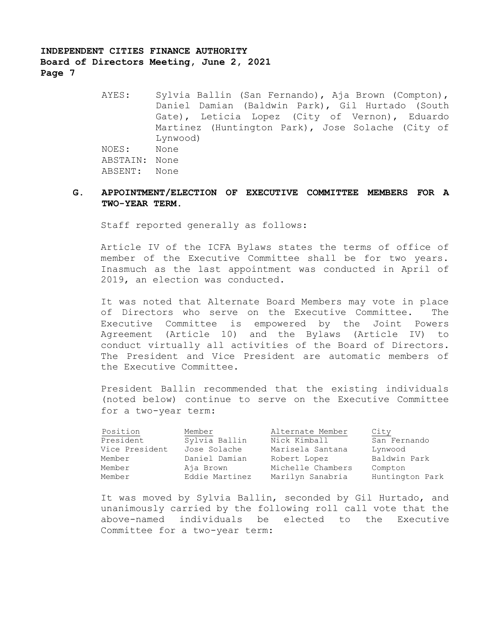> AYES: Sylvia Ballin (San Fernando), Aja Brown (Compton), Daniel Damian (Baldwin Park), Gil Hurtado (South Gate), Leticia Lopez (City of Vernon), Eduardo Martinez (Huntington Park), Jose Solache (City of Lynwood) NOES: None ABSTAIN: None ABSENT: None

## **G. APPOINTMENT/ELECTION OF EXECUTIVE COMMITTEE MEMBERS FOR A TWO-YEAR TERM.**

Staff reported generally as follows:

Article IV of the ICFA Bylaws states the terms of office of member of the Executive Committee shall be for two years. Inasmuch as the last appointment was conducted in April of 2019, an election was conducted.

It was noted that Alternate Board Members may vote in place of Directors who serve on the Executive Committee. The Executive Committee is empowered by the Joint Powers Agreement (Article 10) and the Bylaws (Article IV) to conduct virtually all activities of the Board of Directors. The President and Vice President are automatic members of the Executive Committee.

President Ballin recommended that the existing individuals (noted below) continue to serve on the Executive Committee for a two-year term:

| Position       | Member         | Alternate Member  | City            |
|----------------|----------------|-------------------|-----------------|
| President      | Sylvia Ballin  | Nick Kimball      | San Fernando    |
| Vice President | Jose Solache   | Marisela Santana  | Lynwood         |
| Member         | Daniel Damian  | Robert Lopez      | Baldwin Park    |
| Member         | Aja Brown      | Michelle Chambers | Compton         |
| Member         | Eddie Martinez | Marilyn Sanabria  | Huntington Park |

It was moved by Sylvia Ballin, seconded by Gil Hurtado, and unanimously carried by the following roll call vote that the above-named individuals be elected to the Executive Committee for a two-year term: